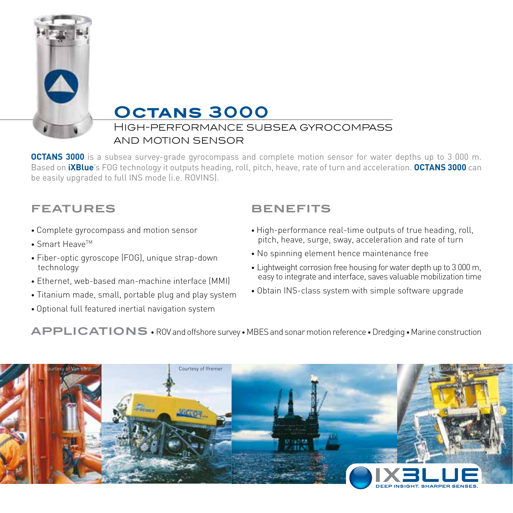

# **Octans 3000**

### High-performance subsea gyrocompass and motion sensor

**OCTANS 3000** is a subsea survey-grade gyrocompass and complete motion sensor for water depths up to 3 000 m. Based on **iXBlue**'s FOG technology it outputs heading, roll, pitch, heave, rate of turn and acceleration. **OCTANS 3000** can be easily upgraded to full INS mode (i.e. ROVINS).

## **FEATURES**

- Complete gyrocompass and motion sensor
- $\bullet$  Smart Heave<sup>TM</sup>
- Fiber-optic gyroscope (FOG), unique strap-down technology
- Ethernet, web-based man-machine interface (MMI)
- Titanium made, small, portable plug and play system
- Optional full featured inertial navigation system

## **BENEFITS**

- High-performance real-time outputs of true heading, roll, pitch, heave, surge, sway, acceleration and rate of turn
- No spinning element hence maintenance free
- Lightweight corrosion free housing for water depth up to 3 000 m, easy to integrate and interface, saves valuable mobilization time
- Obtain INS-class system with simple software upgrade

**APPLICATIONS** • ROV and offshore survey • MBES and sonar motion reference •Dredging • Marine construction